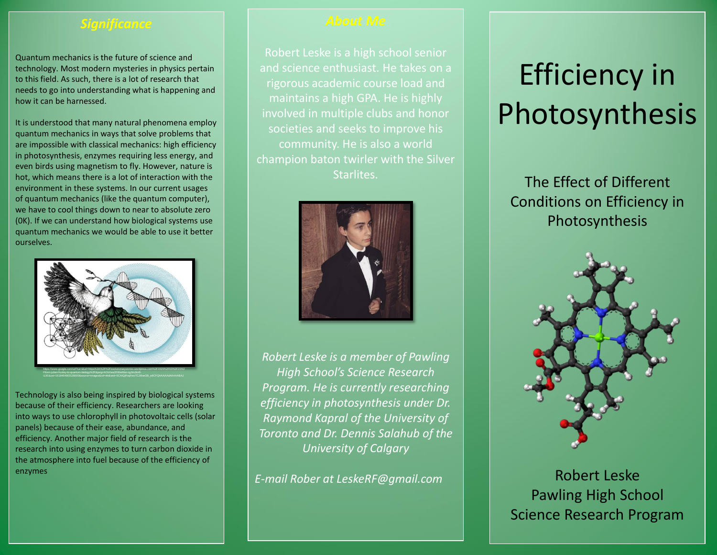## *Significance*

Quantum mechanics is the future of science and technology. Most modern mysteries in physics pertain to this field. As such, there is a lot of research that needs to go into understanding what is happening and how it can be harnessed.

It is understood that many natural phenomena employ quantum mechanics in ways that solve problems that are impossible with classical mechanics: high efficiency in photosynthesis, enzymes requiring less energy, and even birds using magnetism to fly. However, nature is hot, which means there is a lot of interaction with the environment in these systems. In our current usages of quantum mechanics (like the quantum computer), we have to cool things down to near to absolute zero (0K). If we can understand how biological systems use quantum mechanics we would be able to use it better ourselves.



Technology is also being inspired by biological systems because of their efficiency. Researchers are looking into ways to use chlorophyll in photovoltaic cells (solar panels) because of their ease, abundance, and efficiency. Another major field of research is the research into using enzymes to turn carbon dioxide in the atmosphere into fuel because of the efficiency of enzymes

and science enthusiast. He takes on a rigorous academic course load and maintains a high GPA. He is highly involved in multiple clubs and honor societies and seeks to improve his community. He is also a world champion baton twirler with the Silver Starlites.



*Robert Leske is a member of Pawling High School's Science Research Program. He is currently researching efficiency in photosynthesis under Dr. Raymond Kapral of the University of Toronto and Dr. Dennis Salahub of the University of Calgary*

*E-mail Rober at LeskeRF@gmail.com*

# Efficiency in Photosynthesis

The Effect of Different Conditions on Efficiency in Photosynthesis



Robert Leske Pawling High School Science Research Program